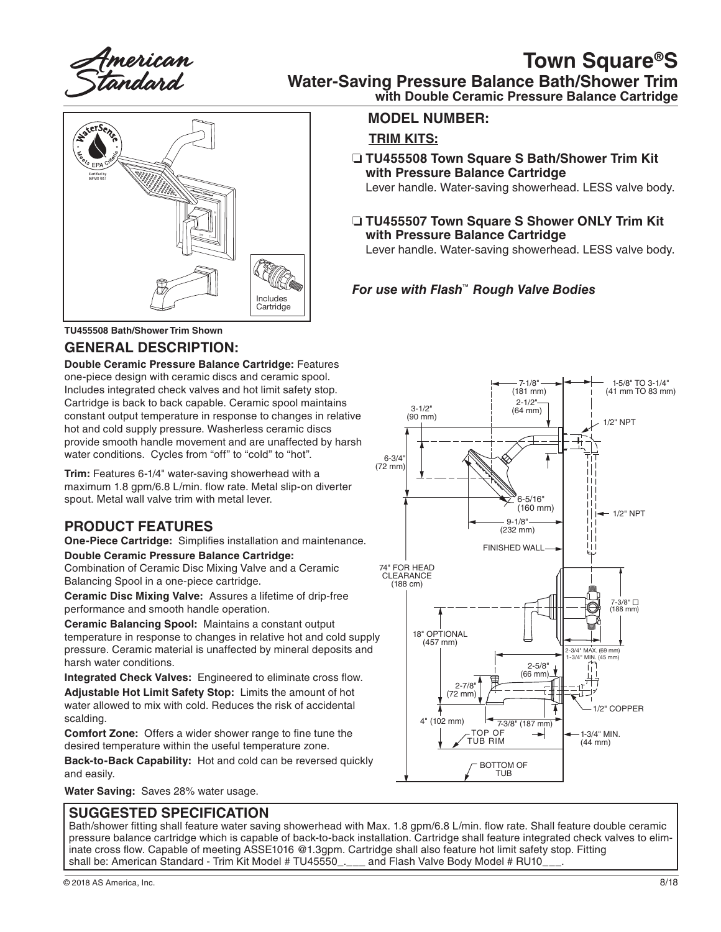American<br>S*t*andard

## **Town Square®S**

**Water-Saving Pressure Balance Bath/Shower Trim**

**ANETSER** OFF <sup>C</sup> Includes **Cartridge** 

**TU455508 Bath/Shower Trim Shown**

#### **GENERAL DESCRIPTION:**

**Double Ceramic Pressure Balance Cartridge:** Features one-piece design with ceramic discs and ceramic spool. Includes integrated check valves and hot limit safety stop. Cartridge is back to back capable. Ceramic spool maintains constant output temperature in response to changes in relative hot and cold supply pressure. Washerless ceramic discs provide smooth handle movement and are unaffected by harsh water conditions. Cycles from "off" to "cold" to "hot".

**Trim:** Features 6-1/4" water-saving showerhead with a maximum 1.8 gpm/6.8 L/min. flow rate. Metal slip-on diverter spout. Metal wall valve trim with metal lever.

#### **PRODUCT FEATURES**

**One-Piece Cartridge:** Simplifies installation and maintenance. **Double Ceramic Pressure Balance Cartridge:** 

Combination of Ceramic Disc Mixing Valve and a Ceramic Balancing Spool in a one-piece cartridge.

**Ceramic Disc Mixing Valve:** Assures a lifetime of drip-free performance and smooth handle operation.

**Ceramic Balancing Spool:** Maintains a constant output temperature in response to changes in relative hot and cold supply pressure. Ceramic material is unaffected by mineral deposits and harsh water conditions.

**Integrated Check Valves:** Engineered to eliminate cross flow. **Adjustable Hot Limit Safety Stop:** Limits the amount of hot water allowed to mix with cold. Reduces the risk of accidental scalding.

**Comfort Zone:** Offers a wider shower range to fine tune the desired temperature within the useful temperature zone.

**Back-to-Back Capability:** Hot and cold can be reversed quickly and easily.

**Water Saving:** Saves 28% water usage.

#### **SUGGESTED SPECIFICATION**

Bath/shower fitting shall feature water saving showerhead with Max. 1.8 gpm/6.8 L/min. flow rate. Shall feature double ceramic pressure balance cartridge which is capable of back-to-back installation. Cartridge shall feature integrated check valves to eliminate cross flow. Capable of meeting ASSE1016 @1.3gpm. Cartridge shall also feature hot limit safety stop. Fitting<br>shall be: American Standard - Trim Kit Model # TU45550\_\_\_\_\_ and Flash Valve Body Model # RU10\_\_\_. shall be: American Standard - Trim Kit Model # TU45550.

**with Double Ceramic Pressure Balance Cartridge**

#### **MODEL NUMBER:**

#### **TRIM KITS:**

❏ **TU455508 Town Square S Bath/Shower Trim Kit with Pressure Balance Cartridge**

Lever handle. Water-saving showerhead. LESS valve body.

❏ **TU455507 Town Square S Shower ONLY Trim Kit with Pressure Balance Cartridge**

Lever handle. Water-saving showerhead. LESS valve body.

#### *For use with Flash™ Rough Valve Bodies* H